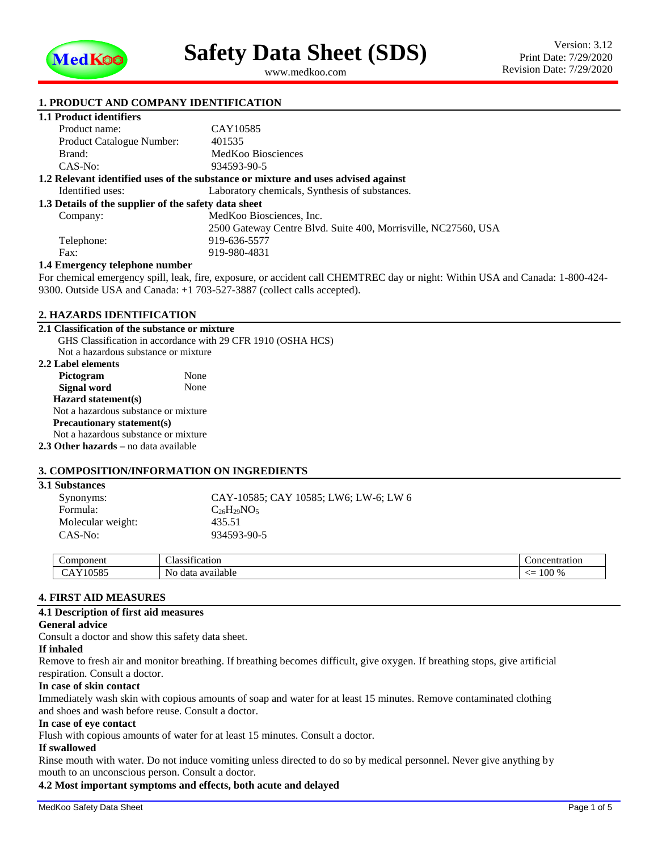

<span id="page-0-1"></span><span id="page-0-0"></span>www.medkoo.com

### **1. PRODUCT AND COMPANY IDENTIFICATION**

|  |  | <b>1.1 Product identifiers</b> |  |
|--|--|--------------------------------|--|
|--|--|--------------------------------|--|

| Product name:                                        | CAY10585                                                                          |
|------------------------------------------------------|-----------------------------------------------------------------------------------|
| <b>Product Catalogue Number:</b>                     | 401535                                                                            |
| Brand:                                               | MedKoo Biosciences                                                                |
| $CAS-No:$                                            | 934593-90-5                                                                       |
|                                                      | 1.2 Relevant identified uses of the substance or mixture and uses advised against |
| Identified uses:                                     | Laboratory chemicals, Synthesis of substances.                                    |
| 1.3 Details of the supplier of the safety data sheet |                                                                                   |
| Company:                                             | MedKoo Biosciences, Inc.                                                          |
|                                                      | 2500 Gateway Centre Blvd. Suite 400, Morrisville, NC27560, USA                    |
| Telephone:                                           | 919-636-5577                                                                      |
| Fax:                                                 | 919-980-4831                                                                      |
| 1.4 Emergency telephone number                       |                                                                                   |
|                                                      |                                                                                   |

For chemical emergency spill, leak, fire, exposure, or accident call CHEMTREC day or night: Within USA and Canada: 1-800-424- 9300. Outside USA and Canada: +1 703-527-3887 (collect calls accepted).

#### **2. HAZARDS IDENTIFICATION**

| 2.1 Classification of the substance or mixture |                                                              |
|------------------------------------------------|--------------------------------------------------------------|
|                                                | GHS Classification in accordance with 29 CFR 1910 (OSHA HCS) |
| Not a hazardous substance or mixture           |                                                              |
| 2.2 Label elements                             |                                                              |
| Pictogram                                      | None                                                         |
| Signal word                                    | None                                                         |
| $\textbf{Hazard statement(s)}$                 |                                                              |
| Not a hazardous substance or mixture           |                                                              |
| <b>Precautionary statement(s)</b>              |                                                              |
| Not a hazardous substance or mixture           |                                                              |
| 2.3 Other hazards – no data available          |                                                              |

### **3. COMPOSITION/INFORMATION ON INGREDIENTS**

| <b>3.1 Substances</b> |                                       |
|-----------------------|---------------------------------------|
| Synonyms:             | CAY-10585; CAY 10585; LW6; LW-6; LW 6 |
| Formula:              | $C_{26}H_{29}NO_5$                    |
| Molecular weight:     | 435.51                                |
| CAS-No:               | 934593-90-5                           |

| uvii                                       | `ON∟<br>vu                               |  |
|--------------------------------------------|------------------------------------------|--|
| Nο<br>.<br>.01101<br>dat<br>$\overline{ }$ | $\sim$<br>ነ ሰበ<br>--<br>,,,,<br>$\cdots$ |  |

#### **4. FIRST AID MEASURES**

#### **4.1 Description of first aid measures**

#### **General advice**

Consult a doctor and show this safety data sheet.

#### **If inhaled**

Remove to fresh air and monitor breathing. If breathing becomes difficult, give oxygen. If breathing stops, give artificial respiration. Consult a doctor.

#### **In case of skin contact**

Immediately wash skin with copious amounts of soap and water for at least 15 minutes. Remove contaminated clothing and shoes and wash before reuse. Consult a doctor.

#### **In case of eye contact**

Flush with copious amounts of water for at least 15 minutes. Consult a doctor.

#### **If swallowed**

Rinse mouth with water. Do not induce vomiting unless directed to do so by medical personnel. Never give anything by mouth to an unconscious person. Consult a doctor.

#### **4.2 Most important symptoms and effects, both acute and delayed**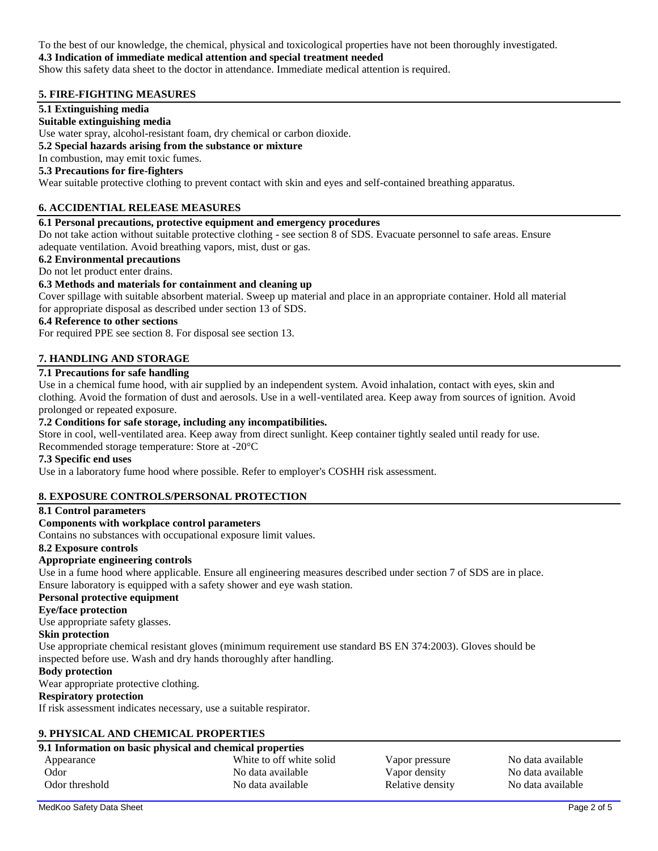To the best of our knowledge, the chemical, physical and toxicological properties have not been thoroughly investigated.

### **4.3 Indication of immediate medical attention and special treatment needed**

Show this safety data sheet to the doctor in attendance. Immediate medical attention is required.

### **5. FIRE-FIGHTING MEASURES**

### **5.1 Extinguishing media**

### **Suitable extinguishing media**

Use water spray, alcohol-resistant foam, dry chemical or carbon dioxide.

### **5.2 Special hazards arising from the substance or mixture**

# In combustion, may emit toxic fumes.

# **5.3 Precautions for fire-fighters**

Wear suitable protective clothing to prevent contact with skin and eyes and self-contained breathing apparatus.

# **6. ACCIDENTIAL RELEASE MEASURES**

### **6.1 Personal precautions, protective equipment and emergency procedures**

Do not take action without suitable protective clothing - see section 8 of SDS. Evacuate personnel to safe areas. Ensure adequate ventilation. Avoid breathing vapors, mist, dust or gas.

### **6.2 Environmental precautions**

### Do not let product enter drains.

### **6.3 Methods and materials for containment and cleaning up**

Cover spillage with suitable absorbent material. Sweep up material and place in an appropriate container. Hold all material for appropriate disposal as described under section 13 of SDS.

### **6.4 Reference to other sections**

For required PPE see section 8. For disposal see section 13.

### **7. HANDLING AND STORAGE**

# **7.1 Precautions for safe handling**

Use in a chemical fume hood, with air supplied by an independent system. Avoid inhalation, contact with eyes, skin and clothing. Avoid the formation of dust and aerosols. Use in a well-ventilated area. Keep away from sources of ignition. Avoid prolonged or repeated exposure.

#### **7.2 Conditions for safe storage, including any incompatibilities.**

Store in cool, well-ventilated area. Keep away from direct sunlight. Keep container tightly sealed until ready for use.

Recommended storage temperature: Store at -20°C

### **7.3 Specific end uses**

Use in a laboratory fume hood where possible. Refer to employer's COSHH risk assessment.

### **8. EXPOSURE CONTROLS/PERSONAL PROTECTION**

#### **8.1 Control parameters**

#### **Components with workplace control parameters**

Contains no substances with occupational exposure limit values.

#### **8.2 Exposure controls**

### **Appropriate engineering controls**

Use in a fume hood where applicable. Ensure all engineering measures described under section 7 of SDS are in place. Ensure laboratory is equipped with a safety shower and eye wash station.

#### **Personal protective equipment**

### **Eye/face protection**

Use appropriate safety glasses.

#### **Skin protection**

Use appropriate chemical resistant gloves (minimum requirement use standard BS EN 374:2003). Gloves should be inspected before use. Wash and dry hands thoroughly after handling.

#### **Body protection**

Wear appropriate protective clothing.

#### **Respiratory protection**

If risk assessment indicates necessary, use a suitable respirator.

### **9. PHYSICAL AND CHEMICAL PROPERTIES**

# **9.1 Information on basic physical and chemical properties**

|                | . . |                          |           |
|----------------|-----|--------------------------|-----------|
| Appearance     |     | White to off white solid | Vapor pre |
| Odor           |     | No data available        | Vapor de  |
| Odor threshold |     | No data available        | Relative  |

essure No data available nsity No data available density No data available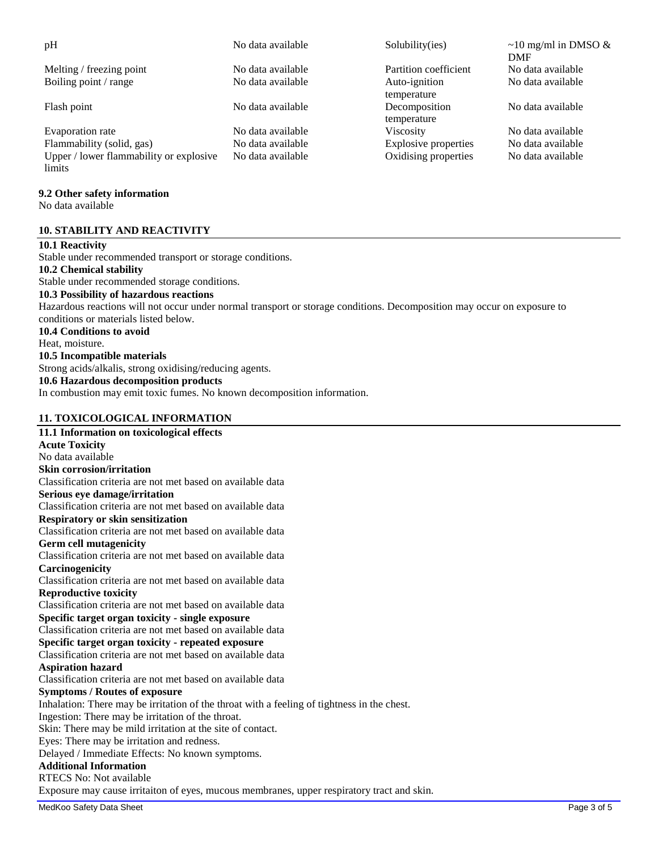| pH                                      | No data available | Solubility(ies)             | $\sim$ 10 mg/ml in DMSO &<br><b>DMF</b> |
|-----------------------------------------|-------------------|-----------------------------|-----------------------------------------|
| Melting / freezing point                | No data available | Partition coefficient       | No data available                       |
| Boiling point / range                   | No data available | Auto-ignition               | No data available                       |
|                                         |                   | temperature                 |                                         |
| Flash point                             | No data available | Decomposition               | No data available                       |
|                                         |                   | temperature                 |                                         |
| Evaporation rate                        | No data available | <b>Viscosity</b>            | No data available                       |
| Flammability (solid, gas)               | No data available | <b>Explosive properties</b> | No data available                       |
| Upper / lower flammability or explosive | No data available | Oxidising properties        | No data available                       |
| limits                                  |                   |                             |                                         |

# **9.2 Other safety information**

No data available

# **10. STABILITY AND REACTIVITY**

#### **10.1 Reactivity**

Stable under recommended transport or storage conditions.

**10.2 Chemical stability**

Stable under recommended storage conditions.

## **10.3 Possibility of hazardous reactions**

Hazardous reactions will not occur under normal transport or storage conditions. Decomposition may occur on exposure to conditions or materials listed below.

#### **10.4 Conditions to avoid**

Heat, moisture.

#### **10.5 Incompatible materials**

Strong acids/alkalis, strong oxidising/reducing agents.

## **10.6 Hazardous decomposition products**

In combustion may emit toxic fumes. No known decomposition information.

#### **11. TOXICOLOGICAL INFORMATION**

### **11.1 Information on toxicological effects Acute Toxicity** No data available **Skin corrosion/irritation** Classification criteria are not met based on available data **Serious eye damage/irritation** Classification criteria are not met based on available data **Respiratory or skin sensitization** Classification criteria are not met based on available data **Germ cell mutagenicity** Classification criteria are not met based on available data **Carcinogenicity** Classification criteria are not met based on available data **Reproductive toxicity** Classification criteria are not met based on available data **Specific target organ toxicity - single exposure** Classification criteria are not met based on available data **Specific target organ toxicity - repeated exposure** Classification criteria are not met based on available data **Aspiration hazard** Classification criteria are not met based on available data **Symptoms / Routes of exposure** Inhalation: There may be irritation of the throat with a feeling of tightness in the chest. Ingestion: There may be irritation of the throat. Skin: There may be mild irritation at the site of contact. Eyes: There may be irritation and redness. Delayed / Immediate Effects: No known symptoms. **Additional Information** RTECS No: Not available Exposure may cause irritaiton of eyes, mucous membranes, upper respiratory tract and skin.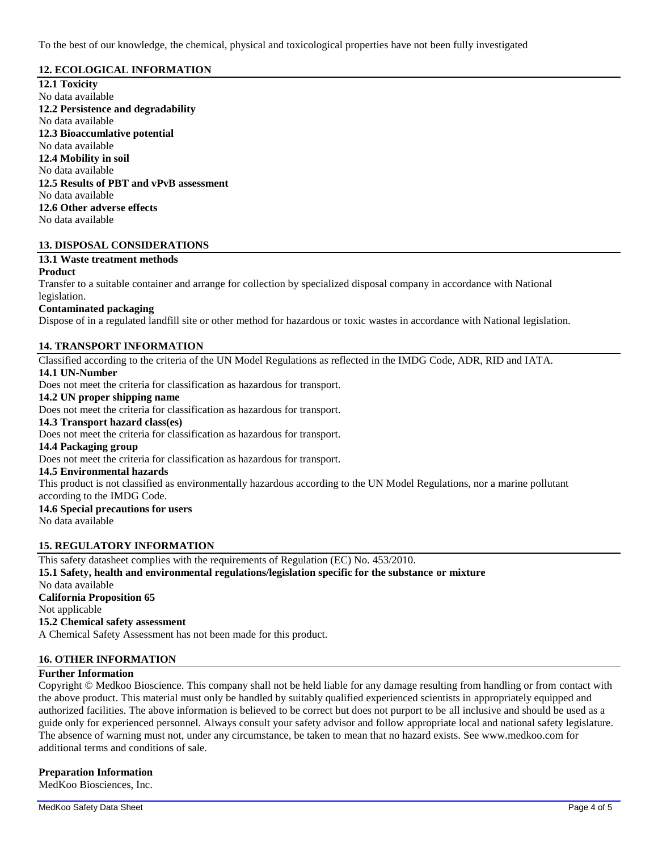To the best of our knowledge, the chemical, physical and toxicological properties have not been fully investigated

### **12. ECOLOGICAL INFORMATION**

**12.1 Toxicity** No data available **12.2 Persistence and degradability** No data available **12.3 Bioaccumlative potential** No data available **12.4 Mobility in soil** No data available **12.5 Results of PBT and vPvB assessment** No data available **12.6 Other adverse effects** No data available

# **13. DISPOSAL CONSIDERATIONS**

### **13.1 Waste treatment methods**

#### **Product**

Transfer to a suitable container and arrange for collection by specialized disposal company in accordance with National legislation.

## **Contaminated packaging**

Dispose of in a regulated landfill site or other method for hazardous or toxic wastes in accordance with National legislation.

### **14. TRANSPORT INFORMATION**

Classified according to the criteria of the UN Model Regulations as reflected in the IMDG Code, ADR, RID and IATA. **14.1 UN-Number**

Does not meet the criteria for classification as hazardous for transport.

#### **14.2 UN proper shipping name**

Does not meet the criteria for classification as hazardous for transport.

## **14.3 Transport hazard class(es)**

Does not meet the criteria for classification as hazardous for transport.

#### **14.4 Packaging group**

Does not meet the criteria for classification as hazardous for transport.

### **14.5 Environmental hazards**

This product is not classified as environmentally hazardous according to the UN Model Regulations, nor a marine pollutant according to the IMDG Code.

#### **14.6 Special precautions for users** No data available

#### **15. REGULATORY INFORMATION**

This safety datasheet complies with the requirements of Regulation (EC) No. 453/2010. **15.1 Safety, health and environmental regulations/legislation specific for the substance or mixture** No data available **California Proposition 65** Not applicable **15.2 Chemical safety assessment** A Chemical Safety Assessment has not been made for this product.

### **16. OTHER INFORMATION**

### **Further Information**

Copyright © Medkoo Bioscience. This company shall not be held liable for any damage resulting from handling or from contact with the above product. This material must only be handled by suitably qualified experienced scientists in appropriately equipped and authorized facilities. The above information is believed to be correct but does not purport to be all inclusive and should be used as a guide only for experienced personnel. Always consult your safety advisor and follow appropriate local and national safety legislature. The absence of warning must not, under any circumstance, be taken to mean that no hazard exists. See www.medkoo.com for additional terms and conditions of sale.

#### **Preparation Information**

MedKoo Biosciences, Inc.